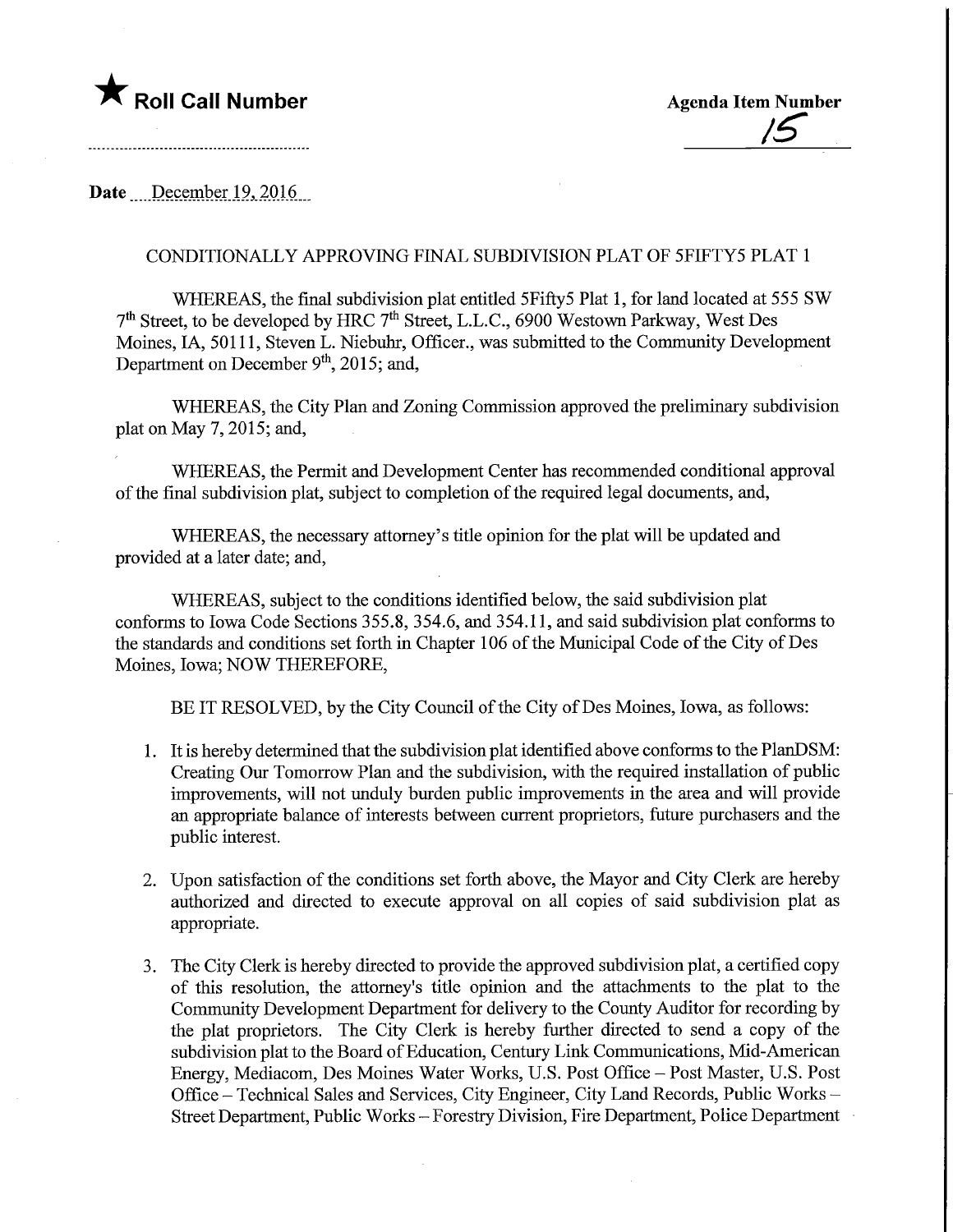## **The Roll Call Number Agents Agenda Item Number**

Date December 19, 2016

## CONDITIONALLY APPROVING FINAL SUBDIVISION PLAT OF 5FIFTY5 PLAT 1

WHEREAS, the final subdivision plat entitled 5Fifty5 Plat 1, for land located at 555 SW 7th Street, to be developed by HRC 7th Street, L.L.C., 6900 Westown Parkway, West Des Moines, IA, 50111, Steven L. Niebuhr, Officer., was submitted to the Community Development Department on December  $9<sup>th</sup>$ , 2015; and,

WHEREAS, the City Plan and Zoning Commission approved the preliminary subdivision plat on May 7,2015; and,

WHEREAS, the Permit and Development Center has recommended conditional approval of the final subdivision plat, subject to completion of the required legal documents, and,

WHEREAS, the necessary attorney's title opinion for the plat will be updated and provided at a later date; and,

WHEREAS, subject to the conditions identified below, the said subdivision plat conforms to Iowa Code Sections 355.8, 354.6, and 354.11, and said subdivision plat conforms to the standards and conditions set forth in Chapter 106 of the Municipal Code of the City of Des Moines, Iowa; NOW THEREFORE,

BE IT RESOLVED, by the City Council of the City of Des Moines, Iowa, as follows:

- 1. It is hereby determined that the subdivision plat identified above conforms to the PlanDSM: Creating Our Tomorrow Plan and the subdivision, with the required installation of public improvements, will not unduly burden public improvements in the area and will provide an appropriate balance of interests between current proprietors, future purchasers and the public interest.
- 2. Upon satisfaction of the conditions set forth above, the Mayor and City Clerk are hereby authorized and directed to execute approval on all copies of said subdivision plat as appropriate.
- 3. The City Clerk is hereby directed to provide the approved subdivision plat, a certified copy of this resolution, the attorney's title opinion and the attachments to the plat to the Community Development Department for delivery to the County Auditor for recording by the plat proprietors. The City Clerk is hereby further directed to send a copy of the subdivision plat to the Board of Education, Century Link Communications, Mid-American Energy, Mediacom, Des Moines Water Works, U.S. Post Office - Post Master, U.S. Post Office - Technical Sales and Services, City Engineer, City Land Records, Public Works -Street Department, Public Works - Forestry Division, Fire Department, Police Department